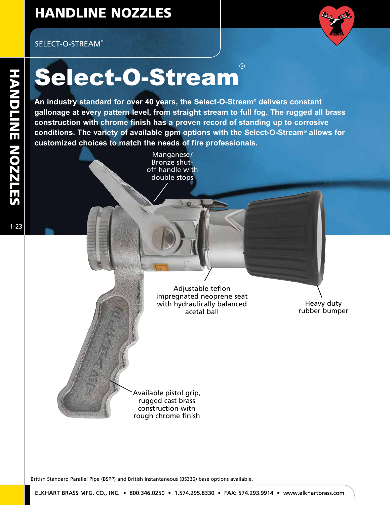## HANDLINE NOZZLES

### SELECT-O-STREAM®



THE SCIENCE - O - Stream of Teach of Relect-O-Stream<br>
An industry standard for over 40 years, the Select-O-Stream<br>
gallonage at every pattern level, from straight stream to fu<br>
construction with chrome finish has a proven **An industry standard for over 40 years, the Select-O-Stream® delivers constant gallonage at every pattern level, from straight stream to full fog. The rugged all brass construction with chrome finish has a proven record of standing up to corrosive conditions. The variety of available gpm options with the Select-O-Stream® allows for customized choices to match the needs of fire professionals.**

Manganese/ Bronze shutoff handle with double stops

> Adjustable teflon impregnated neoprene seat with hydraulically balanced acetal ball

Heavy duty rubber bumper

Available pistol grip, rugged cast brass construction with rough chrome finish

British Standard Parallel Pipe (BSPP) and British Instantaneous (BS336) base options available.

1-25